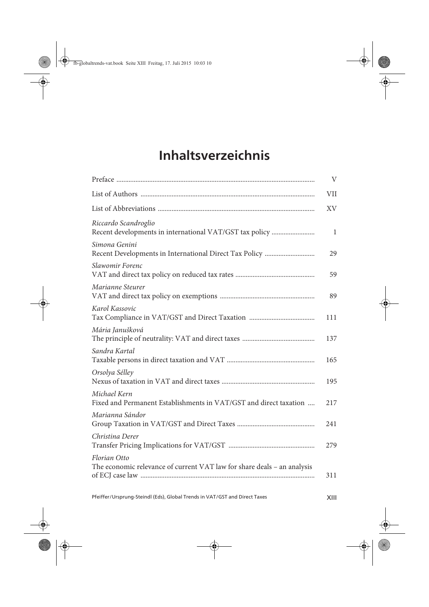## **Inhaltsverzeichnis**

|                                                                                         | $\rm V$    |
|-----------------------------------------------------------------------------------------|------------|
|                                                                                         | <b>VII</b> |
|                                                                                         | <b>XV</b>  |
| Riccardo Scandroglio<br>Recent developments in international VAT/GST tax policy         | 1          |
| Simona Genini                                                                           | 29         |
| Slawomir Forenc                                                                         | 59         |
| Marianne Steurer                                                                        | 89         |
| Karol Kassovic                                                                          | 111        |
| Mária Janušková                                                                         | 137        |
| Sandra Kartal                                                                           | 165        |
| Orsolya Sélley                                                                          | 195        |
| Michael Kern<br>Fixed and Permanent Establishments in VAT/GST and direct taxation       | 217        |
| Marianna Sándor                                                                         | 241        |
| Christina Derer                                                                         | 279        |
| Florian Otto<br>The economic relevance of current VAT law for share deals - an analysis | 311        |